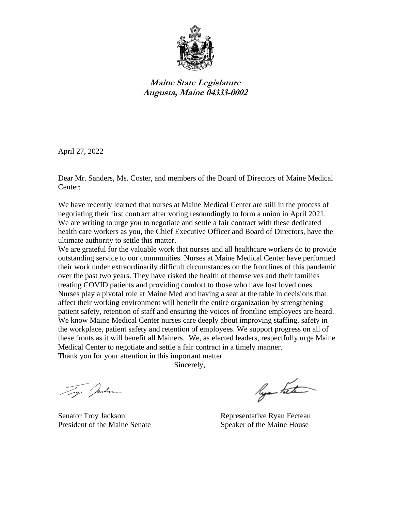

**Maine State Legislature Augusta, Maine 04333-0002**

April 27, 2022

Dear Mr. Sanders, Ms. Coster, and members of the Board of Directors of Maine Medical Center:

We have recently learned that nurses at Maine Medical Center are still in the process of negotiating their first contract after voting resoundingly to form a union in April 2021. We are writing to urge you to negotiate and settle a fair contract with these dedicated health care workers as you, the Chief Executive Officer and Board of Directors, have the ultimate authority to settle this matter.

We are grateful for the valuable work that nurses and all healthcare workers do to provide outstanding service to our communities. Nurses at Maine Medical Center have performed their work under extraordinarily difficult circumstances on the frontlines of this pandemic over the past two years. They have risked the health of themselves and their families treating COVID patients and providing comfort to those who have lost loved ones. Nurses play a pivotal role at Maine Med and having a seat at the table in decisions that affect their working environment will benefit the entire organization by strengthening patient safety, retention of staff and ensuring the voices of frontline employees are heard. We know Maine Medical Center nurses care deeply about improving staffing, safety in the workplace, patient safety and retention of employees. We support progress on all of these fronts as it will benefit all Mainers. We, as elected leaders, respectfully urge Maine Medical Center to negotiate and settle a fair contract in a timely manner. Thank you for your attention in this important matter.

Sincerely,

Ty Juken

Senator Troy Jackson Representative Ryan Fecteau President of the Maine Senate Speaker of the Maine House

lya hete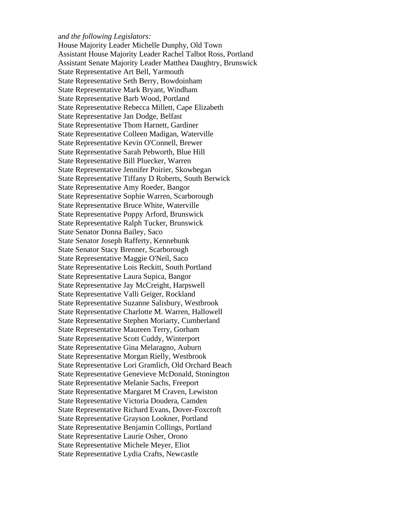## a*nd the following Legislators:*

House Majority Leader Michelle Dunphy, Old Town Assistant House Majority Leader Rachel Talbot Ross, Portland Assistant Senate Majority Leader Matthea Daughtry, Brunswick State Representative Art Bell, Yarmouth State Representative Seth Berry, Bowdoinham State Representative Mark Bryant, Windham State Representative Barb Wood, Portland State Representative Rebecca Millett, Cape Elizabeth State Representative Jan Dodge, Belfast State Representative Thom Harnett, Gardiner State Representative Colleen Madigan, Waterville State Representative Kevin O'Connell, Brewer State Representative Sarah Pebworth, Blue Hill State Representative Bill Pluecker, Warren State Representative Jennifer Poirier, Skowhegan State Representative Tiffany D Roberts, South Berwick State Representative Amy Roeder, Bangor State Representative Sophie Warren, Scarborough State Representative Bruce White, Waterville State Representative Poppy Arford, Brunswick State Representative Ralph Tucker, Brunswick State Senator Donna Bailey, Saco State Senator Joseph Rafferty, Kennebunk State Senator Stacy Brenner, Scarborough State Representative Maggie O'Neil, Saco State Representative Lois Reckitt, South Portland State Representative Laura Supica, Bangor State Representative Jay McCreight, Harpswell State Representative Valli Geiger, Rockland State Representative Suzanne Salisbury, Westbrook State Representative Charlotte M. Warren, Hallowell State Representative Stephen Moriarty, Cumberland State Representative Maureen Terry, Gorham State Representative Scott Cuddy, Winterport State Representative Gina Melaragno, Auburn State Representative Morgan Rielly, Westbrook State Representative Lori Gramlich, Old Orchard Beach State Representative Genevieve McDonald, Stonington State Representative Melanie Sachs, Freeport State Representative Margaret M Craven, Lewiston State Representative Victoria Doudera, Camden State Representative Richard Evans, Dover-Foxcroft State Representative Grayson Lookner, Portland State Representative Benjamin Collings, Portland State Representative Laurie Osher, Orono State Representative Michele Meyer, Eliot State Representative Lydia Crafts, Newcastle